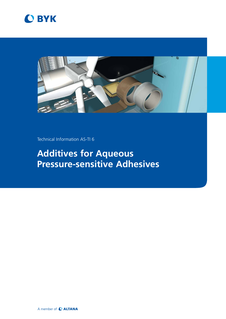



Technical Information AS-TI 6

# **Additives for Aqueous Pressure-sensitive Adhesives**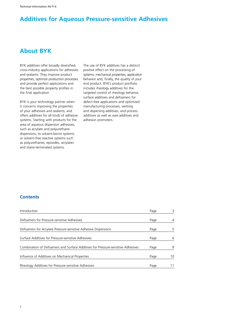### **Additives for Aqueous Pressure-sensitive Adhesives**

### **About BYK**

BYK additives offer broadly diversified, cross-industry applications for adhesives and sealants. They improve product properties, optimize production processes and provide perfect applications and the best possible property profiles in the final application.

BYK is your technology partner when it concerns improving the properties of your adhesives and sealants, and offers additives for all kinds of adhesive systems. Starting with products for the area of aqueous dispersion adhesives, such as acrylate and polyurethane dispersions, to solvent-borne systems or solvent-free reactive systems such as polyurethanes, epoxides, acrylates and silane-terminated systems.

The use of BYK additives has a distinct positive effect on the processing of systems, mechanical properties, application behavior and, finally, the quality of your end product. BYK's product portfolio includes rheology additives for the targeted control of rheology behavior, surface additives and defoamers for defect-free applications and optimized manufacturing processes, wetting and dispersing additives, and process additives as well as wax additives and adhesion promoters.

### **Contents**

| Introduction                                                                    | Page | 3  |
|---------------------------------------------------------------------------------|------|----|
| Defoamers for Pressure-sensitive Adhesives                                      | Page | 4  |
| Defoamers for Acrylate Pressure-sensitive Adhesive Dispersions                  | Page | 5. |
| Surface Additives for Pressure-sensitive Adhesives                              |      | 6  |
| Combination of Defoamers and Surface Additives for Pressure-sensitive Adhesives | Page | 9  |
| Influence of Additives on Mechanical Properties                                 | Page | 10 |
| Rheology Additives for Pressure-sensitive Adhesives                             | Page |    |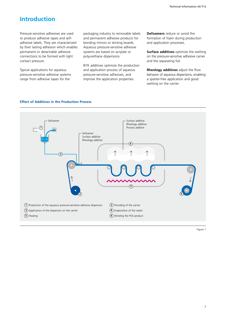### **Introduction**

Pressure-sensitive adhesives are used to produce adhesive tapes and selfadhesive labels. They are characterized by their lasting adhesion which enables permanent or detachable adhesive connections to be formed with light contact pressure.

Typical applications for aqueous pressure-sensitive adhesive systems range from adhesive tapes for the

packaging industry to removable labels and permanent adhesive products for bonding mirrors or skirting boards. Aqueous pressure-sensitive adhesive systems are based on acrylate or polyurethane dispersions.

BYK additives optimize the production and application process of aqueous pressure-sensitive adhesives, and improve the application properties.

**Defoamers** reduce or avoid the formation of foam during production and application processes.

**Surface additives** optimize the wetting on the pressure-sensitive adhesive carrier and the separating foil.

**Rheology additives** adjust the flow behavior of aqueous dispersions, enabling a spatter-free application and good wetting on the carrier.



#### **Effect of Additives in the Production Process**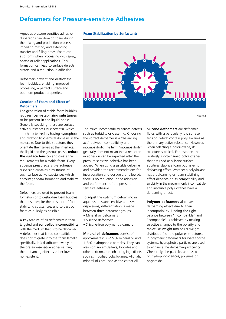### **Defoamers for Pressure-sensitive Adhesives**

Aqueous pressure-sensitive adhesive dispersions can develop foam during the mixing and production process, impeding mixing, and extending transfer and filling times. Foam can also form when processing with spray, nozzle or roller applications. This formation can lead to surface defects, craters and a reduction in adhesion.

Defoamers prevent and destroy the foam bubbles, enabling improved processing, a perfect surface and optimum product properties.

#### **Creation of Foam and Effect of Defoamers**

The generation of stable foam bubbles requires **foam-stabilizing substances** to be present in the liquid phase. Generally speaking, these are surfaceactive substances (surfactants), which are characterized by having hydrophobic and hydrophilic chemical domains in the molecule. Due to this structure, they orientate themselves at the interfaces the liquid and the gaseous phase, **reduce the surface tension** and create the requirements for a stable foam. Every aqueous pressure-sensitive adhesive dispersion contains a multitude of such surface-active substances which encourage foam formation and stabilize the foam.

Defoamers are used to prevent foam formation or to destabilize foam bubbles that arise despite the presence of foamstabilizing substances, and to destroy foam as quickly as possible.

A key feature of all defoamers is their targeted and **controlled incompatibility**  with the medium that is to be defoamed. A defoamer that is too compatible does not migrate into the foam lamella specifically, it is distributed evenly in the pressure-sensitive adhesive film; the defoaming effect is either low or non-existent.





Figure 2

Too much incompatibility causes defects such as turbidity or cratering. Choosing the correct defoamer is a "balancing act" between compatibility and incompatibility. The term "incompatibility" generally does not mean that a reduction in adhesion can be expected after the pressure-sensitive adhesive has been applied. When using a suitable defoamer, and provided the recommendations for incorporation and dosage are followed, there is no reduction in the adhesion and performance of the pressuresensitive adhesive.

To adjust the optimum defoaming in aqueous pressure-sensitive adhesive dispersions, differentiation is made between three defoamer groups:

- Mineral oil defoamers
- Silicone defoamers
- Silicone-free polymer defoamers

**Mineral oil defoamers** consist of approximately 85–95% mineral oil and 1–3% hydrophobic particles. They can also contain emulsifiers, biocides and other performance-enhancing ingredients such as modified polysiloxanes. Aliphatic mineral oils are used as the carrier oil.

**Silicone defoamers** are defoamer fluids with a particularly low surface tension, which contain polysiloxanes as the primary active substance. However, when selecting a polysiloxane, its structure is critical. For instance, the relatively short-chained polysiloxanes that are used as silicone surface additives stabilize foam but have no defoaming effect. Whether a polysiloxane has a defoaming or foam-stabilizing effect depends on its compatibility and solubility in the medium: only incompatible and insoluble polysiloxanes have a defoaming effect.

**Polymer defoamers** also have a defoaming effect due to their incompatibility. Finding the right balance between "incompatible" and "compatible" is achieved by making selective changes to the polarity and molecular weight (molecular weight distribution) of the polymer structures. In polymeric defoamers for water-borne systems, hydrophobic particles are used to enhance the defoaming efficiency. Chemically, the particles are based on hydrophobic silicas, polyurea or polyamide.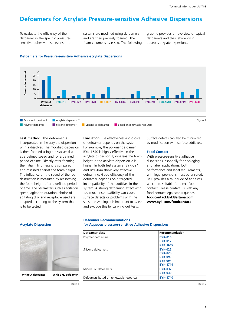### **Defoamers for Acrylate Pressure-sensitive Adhesive Dispersions**

To evaluate the efficiency of the defoamer in the specific pressuresensitive adhesive dispersions, the systems are modified using defoamers and are then precisely foamed. The foam volume is assessed. The following graphic provides an overview of typical defoamers and their efficiency in aqueous acrylate dispersions.



#### **Defoamers for Pressure-sensitive Adhesive-acrylate Dispersions**

**Test method:** The defoamer is incorporated in the acrylate dispersion with a dissolver. The modified dispersion is then foamed using a dissolver disc at a defined speed and for a defined period of time. Directly after foaming, the initial filling height is compared and assessed against the foam height. The influence on the speed of the foam destruction is measured by reassessing the foam height after a defined period of time. The parameters such as agitation speed, agitation duration, choice of agitating disk and receptacle used are adapted according to the system that is to be tested.

**Evaluation:** The effectiveness and choice of defoamer depends on the system. For example, the polymer defoamer BYK-1640 is highly effective in the acrylate dispersion 1, whereas the foam height in the acrylate dispersion 2 is higher. In both test systems, BYK-094 and BYK-044 show very effective defoaming. Good efficiency of the defoamer depends on a targeted incompatibility of the additives in the system. A strong defoaming effect with too much incompatibility can cause surface defects or problems with the substrate wetting. It is important to assess and exclude this by carrying out tests.

Surface defects can also be minimized by modification with surface additives.

#### **Food Contact**

With pressure-sensitive adhesive dispersions, especially for packaging and label applications, both performance and legal requirements, with legal provisions must be ensured. BYK provides a multitude of additives which are suitable for direct food contact. Please contact us with any food contact legal status queries: **foodcontact.byk@altana.com www.byk.com/foodcontact**



**Without defoamer With BYK defoamer**

**Defoamer Recommendations Acrylate Dispersion for Aqueous pressure-sensitive Adhesive Dispersions**

| Defoamer class                         | Recommendation  |
|----------------------------------------|-----------------|
| Polymer defoamers                      | <b>BYK-016</b>  |
|                                        | <b>BYK-017</b>  |
|                                        | <b>BYK-1640</b> |
| Silicone defoamers                     | <b>BYK-022</b>  |
|                                        | <b>BYK-028</b>  |
|                                        | <b>BYK-093</b>  |
|                                        | <b>BYK-094</b>  |
|                                        | <b>BYK-1719</b> |
| Mineral oil defoamers                  | <b>BYK-037</b>  |
|                                        | <b>BYK-039</b>  |
| Defoamers based on renewable resources | <b>BYK-1740</b> |

Figure 4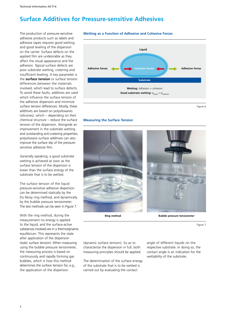### **Surface Additives for Pressure-sensitive Adhesives**

The production of pressure-sensitive adhesive products such as labels and adhesive tapes requires good wetting and good leveling of the dispersion on the carrier. Surface defects on the applied film are undesirable as they affect the visual appearance and the adhesion. Typical surface defects are poor substrate wetting, cratering and insufficient leveling. A key parameter is the **surface tension** or surface tension differences between the materials involved, which lead to surface defects. To avoid these faults, additives are used which influence the surface tension of the adhesive dispersion and minimize surface tension differences. Mostly, these additives are based on polysiloxanes (silicones), which – depending on their chemical structure – reduce the surface tension of the dispersion. Alongside an improvement in the substrate wetting and outstanding anti-cratering properties, polysiloxane surface additives can also improve the surface slip of the pressuresensitive adhesive film.

Generally speaking, a good substrate wetting is achieved as soon as the surface tension of the dispersion is lower than the surface energy of the substrate that is to be wetted.

The surface tension of the liquid pressure-sensitive adhesive dispersion can be determined statically by the Du Noüy ring method, and dynamically by the bubble pressure tensiometer. The test methods can be seen in Figure 7.

With the ring method, during the measurement no energy is applied to the liquid, and the surface-active substances involved are in a thermodynamic equilibrium. This represents the state after application of the dispersion (static surface tension). When measuring using the bubble pressure tensiometer, the measuring process is based on continuously and rapidly forming gas bubbles, which is how this method determines the surface tension for, e.g., the application of the dispersion



Figure 6



**Wetting as a Function of Adhesive and Cohesive Forces**

#### **Measuring the Surface Tension**



Figure 7

(dynamic surface tension). So as to characterize the dispersion in full, both measuring principles should be applied.

The determination of the surface energy of the substrate that is to be wetted is carried out by evaluating the contact

angle of different liquids on the respective substrate. In doing so, the contact angle is an indication for the wettability of the substrate.

#### 6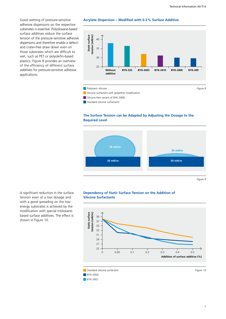Good wetting of pressure-sensitive adhesive dispersions on the respective substrates is essential. Polysiloxane-based surface additives reduce the surface tension of the pressure-sensitive adhesive dispersions and therefore enable a defectand crater-free draw down even on those substrates which are difficult to wet, such as PET or polyolefin-based plastics. Figure 8 provides an overview of the efficiency of different surface additives for pressure-sensitive adhesive applications.

#### **Acrylate Dispersion – Modified with 0.3% Surface Additive**



 $\blacksquare$  Silicone surfactant with polyether modification

 $\blacksquare$  Silicone-free variant of BYK-3400

 $\blacksquare$  Standard silicone surfactants

#### **The Surface Tension can be Adapted by Adjusting the Dosage to the Required Level**



A significant reduction in the surface tension even at a low dosage and with a good spreading on the lowenergy substrates is achieved by the modification with special trisiloxanebased surface additives. The effect is shown in Figure 10.

#### **Dependency of Static Surface Tension on the Addition of Silicone Surfactants**



- 
- $\blacksquare$  BYK-3450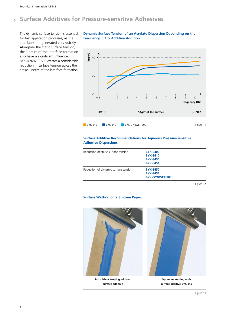#### **Surface Additives for Pressure-sensitive Adhesives**  $\overline{\phantom{a}}$

The dynamic surface tension is essential for fast application processes, as the interfaces are generated very quickly. Alongside the static surface tension, the kinetics of the interface formation also have a significant influence. BYK-DYNWET 800 creates a considerable reduction in surface tension across the entire kinetics of the interface formation.

**Dynamic Surface Tension of an Acrylate Dispersion Depending on the Frequency, 0.2% Additive Addition**



#### **Surface Additive Recommendations for Aqueous Pressure-sensitive Adhesive Dispersions**

| Reduction of static surface tension  | <b>BYK-3400</b><br><b>BYK-3410</b><br><b>BYK-3450</b>       |  |
|--------------------------------------|-------------------------------------------------------------|--|
|                                      | <b>BYK-3451</b>                                             |  |
| Reduction of dynamic surface tension | <b>BYK-3450</b><br><b>BYK-3451</b><br><b>BYK-DYNWET 800</b> |  |

Figure 12

#### **Surface Wetting on a Silicone Paper**







**Optimum wetting with surface additive BYK-349**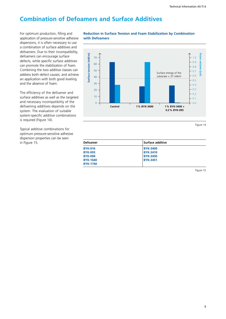### **Combination of Defoamers and Surface Additives**

For optimum production, filling and application of pressure-sensitive adhesive dispersions, it is often necessary to use a combination of surface additives and defoamers. Due to their incompatibility, defoamers can encourage surface defects, while specific surface additives can promote the stabilization of foam. Combining the two additive classes can address both defect causes, and achieve an application with both good leveling and the absence of foam.

The efficiency of the defoamer and surface additives as well as the targeted and necessary incompatibility of the defoaming additives depends on the system. The evaluation of suitable system-specific additive combinations is required (Figure 14).

Typical additive combinations for optimum pressure-sensitive adhesive dispersion properties can be seen in Figure 15.

#### **Reduction in Surface Tension and Foam Stabilization by Combination with Defoamers**



Figure 14

| <b>Defoamer</b> | Surface additive |
|-----------------|------------------|
| <b>BYK-016</b>  | <b>BYK-3400</b>  |
| <b>BYK-093</b>  | <b>BYK-3410</b>  |
| <b>BYK-094</b>  | <b>BYK-3450</b>  |
| <b>BYK-1640</b> | <b>BYK-3451</b>  |
| <b>BYK-1740</b> |                  |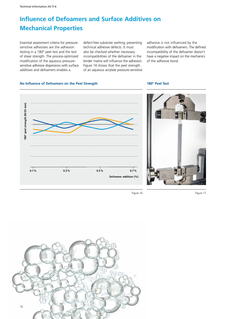## **Influence of Defoamers and Surface Additives on Mechanical Properties**

Essential assessment criteria for pressuresensitive adhesives are the adhesion testing in a 180° peel test and the test of shear strength. The process-optimized modification of the aqueous pressuresensitive adhesive dispersions with surface additives and defoamers enables a

defect-free substrate wetting, preventing technical adhesive defects. It must also be checked whether necessary incompatibilities of the defoamer in the binder matrix will influence the adhesion. Figure 16 shows that the peel strength of an aqueous acrylate pressure-sensitive

adhesive is not influenced by the modification with defoamers. The defined incompatibility of the defoamer doesn't have a negative impact on the mechanics of the adhesive bond.

**180° Peel Test**

#### **No Influence of Defoamers on the Peel Strength**





Figure 16

Figure 17

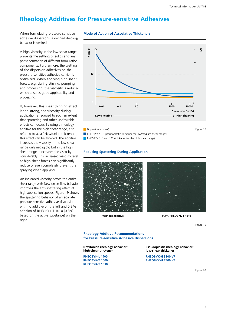### **Rheology Additives for Pressure-sensitive Adhesives**

When formulating pressure-sensitive adhesive dispersions, a defined rheology behavior is desired.

A high viscosity in the low shear range prevents the settling of solids and any phase formation of different formulation components. Furthermore, the wetting of the dispersion adhesives on the pressure-sensitive adhesive carrier is optimized. When applying high shear forces, e.g. during stirring, pumping and processing, the viscosity is reduced which ensures good applicability and processing.

If, however, this shear thinning effect is too strong, the viscosity during application is reduced to such an extent that spattering and other undesirable effects can occur. By using a rheology additive for the high shear range, also referred to as a "Newtonian thickener", this effect can be avoided. The additive increases the viscosity in the low shear range only negligibly, but in the high shear range it increases the viscosity considerably. This increased viscosity level at high shear forces can significantly reduce or even completely prevent the spraying when applying.

An increased viscosity across the entire shear range with Newtonian flow behavior improves the anti-spattering effect at high application speeds. Figure 19 shows the spattering behavior of an acrylate pressure-sensitive adhesive dispersion with no additive on the left and 0.3% addition of RHEOBYK-T 1010 (0.3% based on the active substance) on the right.



**Mode of Action of Associative Thickeners**

RHEOBYK "H" (pseudoplastic thickener for low/medium shear ranges)

**RHEOBYK** "L" and "T" (thickener for the high shear range)

#### **Reducing Spattering During Application**



Figure 19

#### **Rheology Additive Recommendations for Pressure-sensitive Adhesive Dispersions**

| Newtonian rheology behavior/<br>high-shear thickener | Pseudoplastic rheology behavior/<br>low-shear thickener |
|------------------------------------------------------|---------------------------------------------------------|
| <b>RHEOBYK-L 1400</b>                                | <b>RHEOBYK-H 3300 VF</b>                                |
| <b>RHEOBYK-T 1000</b>                                | <b>RHEOBYK-H 7500 VF</b>                                |
| <b>RHEOBYK-T 1010</b>                                |                                                         |